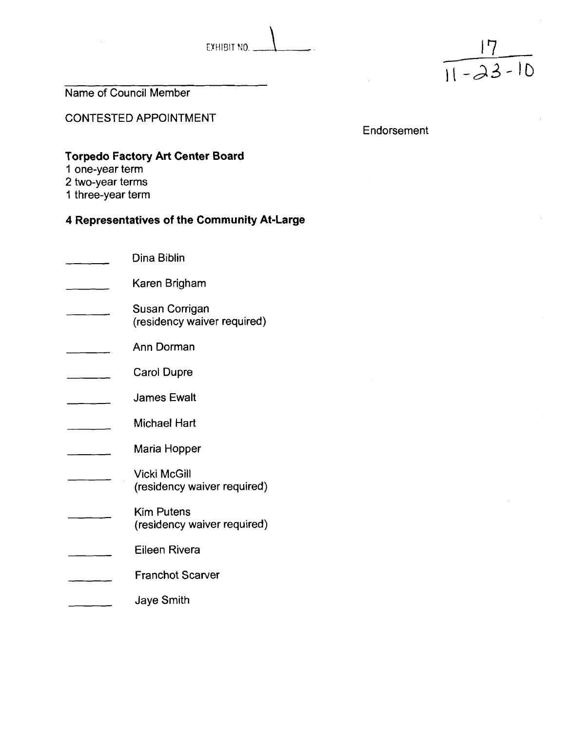



Name of Council Member

CONTESTED APPOINTMENT

Endorsement

# **Torpedo Factory Art Center Board**

- **1** one-year term
- 2 two-year terms
- 1 three-year term

| Dina Biblin                                        |
|----------------------------------------------------|
| Karen Brigham                                      |
| Susan Corrigan<br>(residency waiver required)      |
| Ann Dorman                                         |
| <b>Carol Dupre</b>                                 |
| <b>James Ewalt</b>                                 |
| Michael Hart                                       |
| Maria Hopper                                       |
| <b>Vicki McGill</b><br>(residency waiver required) |
| <b>Kim Putens</b><br>(residency waiver required)   |
| Eileen Rivera                                      |
| <b>Franchot Scarver</b>                            |
| Jaye Smith                                         |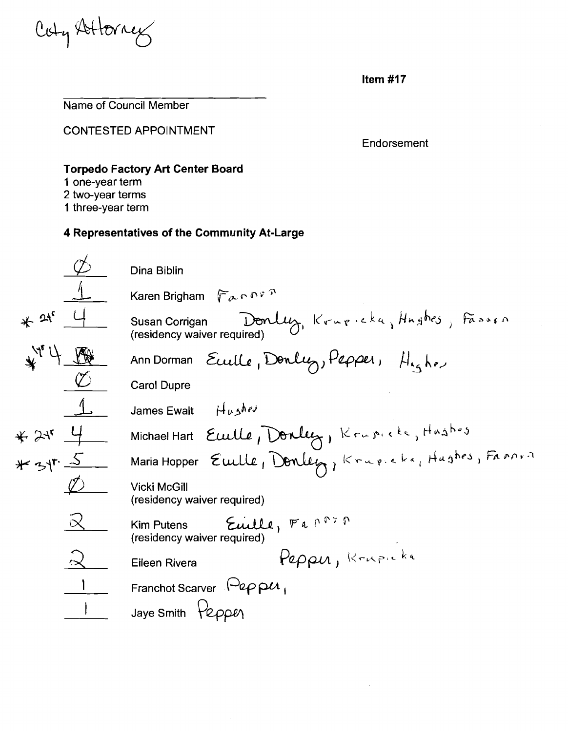Coty Attorney

Name of Council Member

CONTESTED APPOINTMENT

Endorsement

#### **Torpedo Factory Art Center Board**

- **1** one-year term
- 2 two-year terms
- 1 three-year term

Dina Biblin Karen Brigham  $\int \overline{\rho} \wedge \rho \wedge \overline{\rho}$  $*$  2<sup>1</sup> 4 Susan Corrigan Donly, Krupicka, Hughes, Fasser (residency waiver required)  $\frac{1}{4}$  <sup>17</sup> 4  $\frac{1}{10}$  Ann Dorman Eculle, Donley, Pepper, H<sub>15</sub> h.  $\sigma$ James Ewalt  $\int \int \mu_0 \rho \, d\theta$ Michael Hart Euelle, Donley, Krapicke, Hushos # 31<sup>r.</sup> 5 Maria Hopper Euille, Donley, Krupicka, Hughes, Fannis Vicki McGill (residency waiver required) Maria Hopper Ewlle, Donley,  $K + 1$ <br>Vicki McGill<br>(residency waiver required)<br>Kim Putens Ewille, Fanning Kim Putens  $\overline{\mathcal{E}\text{uille}}$ ,  $\overline{F}$  a  $\overline{F}$ <sup> $\overline{r}$ </sup>  $Pepen$  Rivera  $Pepen$ , Krupicka Franchot Scarver  $\Theta$ epp $\mu_{\perp}$ Jaye Smith Pepper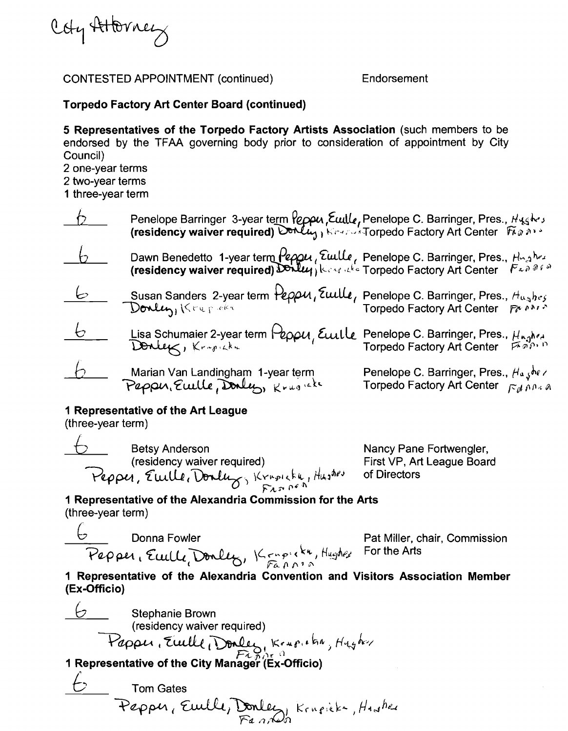

#### CONTESTED APPOINTMENT (continued) Endorsement

### **Torpedo Factory Art Center Board (continued)**

**5 Representatives of the Torpedo Factory Artists Association** (such members to be endorsed by the TFAA governing body prior to consideration of appointment by City Council)

2 one-year terms

- 2 two-year terms
- 1 three-year term

|            | Penelope Barringer 3-year term <i>Peppu, Ewille, Penelope C. Barringer, Pres., Hyghes</i><br>(residency waiver required) Donly, Kreas Torpedo Factory Art Center Figges |                                                                                                                                                       |
|------------|-------------------------------------------------------------------------------------------------------------------------------------------------------------------------|-------------------------------------------------------------------------------------------------------------------------------------------------------|
|            | Dawn Benedetto 1-year term <i>Peppu</i> , Eulle, Penelope C. Barringer, Pres., Hughes<br>(residency waiver required) Donly, Kesenthe Torpedo Factory Art Center Fan 060 |                                                                                                                                                       |
| ヒ          | Susan Sanders 2-year term Peppu, Ewille, Penelope C. Barringer, Pres., $H_{\alpha_{3}}$ hes<br>Torpedo Factory Art Center Freedor                                       |                                                                                                                                                       |
| $\epsilon$ | Lisa Schumaier 2-year term Peppu, Euille                                                                                                                                | Penelope C. Barringer, Pres., $\mu_{n,q}$ hea<br>Torpedo Factory Art Center                                                                           |
|            | Marian Van Landingham 1-year term<br>Peppu, Ewille, Dolly, Krugnak                                                                                                      | Penelope C. Barringer, Pres., $H_{\alpha}$ $\oint_{\alpha} h \ell \ell$<br>Torpedo Factory Art Center $\int_{\alpha} f \ell \ell \ell \ell \ell \ell$ |

# **1 Representative of the Art League**

 $(three-year term)$ 

external betsy Anderson<br>
Betsy Anderson Nancy Pane Fortwengler, (residency waiver required) First VP, Art League Board **The Example 2018 of the Art League<br>
The Art League<br>** *Testsy Anderson***<br>
(residency waiver required)<br>** *Tuppe, Ewill, Donlug***, Kerplekk, Hushes of Directors<br>
<b>Peoper, Ewill, Donlug**, Kerplekk, Hushes of Directors<br> **Peoper, Fhi\* PC** ''

# **1 Representative of the Alexandria Commission for the Arts**  (three-year term) Procession and Fowler Pat Miller, of<br>Pepper, Eucle, Donley, Kenpikk, Hughes For the Arts<br>
Pepper, Eucle, Donley, Kenpikk, Hughes For the Arts<br>
epresentative of the Alexandria Convention and Visitors Assoc

 $\overline{\mathcal{C}}$  Donna Fowler Pat Miller, chair, Commission

**1 Representative of the Alexandria Convention and Visitors Association Member (Ex-Officio)** 

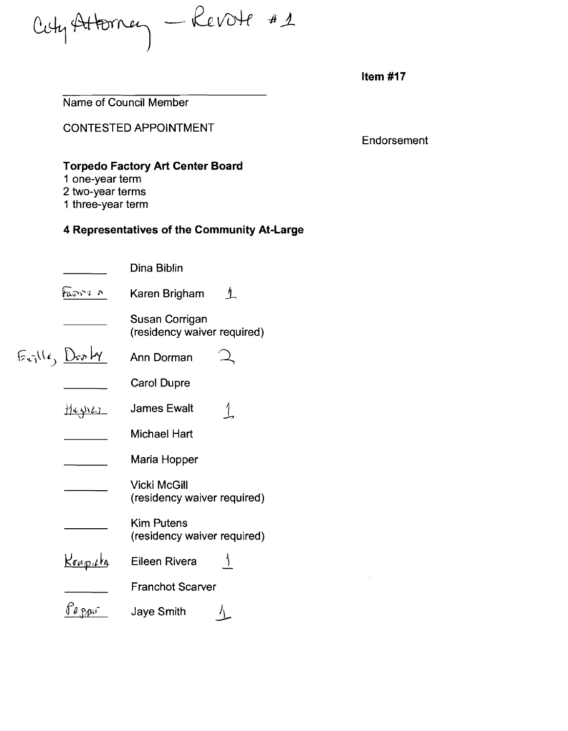Cety Attorney - Revote #1

Name of Council Member

CONTESTED APPOINTMENT

Endorsement

# **Torpedo Factory Art Center Board**

- **1** one-year term
- 2 two-year terms
- 1 three-year term

|                                | Dina Biblin                                        |
|--------------------------------|----------------------------------------------------|
| taoni n                        | ł.<br>Karen Brigham                                |
|                                | Susan Corrigan<br>(residency waiver required)      |
| $E_{\text{crit}}(l_{1})$ Donty | Ann Dorman                                         |
|                                | <b>Carol Dupre</b>                                 |
| the prev                       | <b>James Ewalt</b>                                 |
|                                | <b>Michael Hart</b>                                |
|                                | Maria Hopper                                       |
|                                | <b>Vicki McGill</b><br>(residency waiver required) |
|                                | <b>Kim Putens</b><br>(residency waiver required)   |
| <u>Krupicka</u>                | <b>Eileen Rivera</b>                               |
|                                | <b>Franchot Scarver</b>                            |
|                                | <b>Jaye Smith</b>                                  |
|                                |                                                    |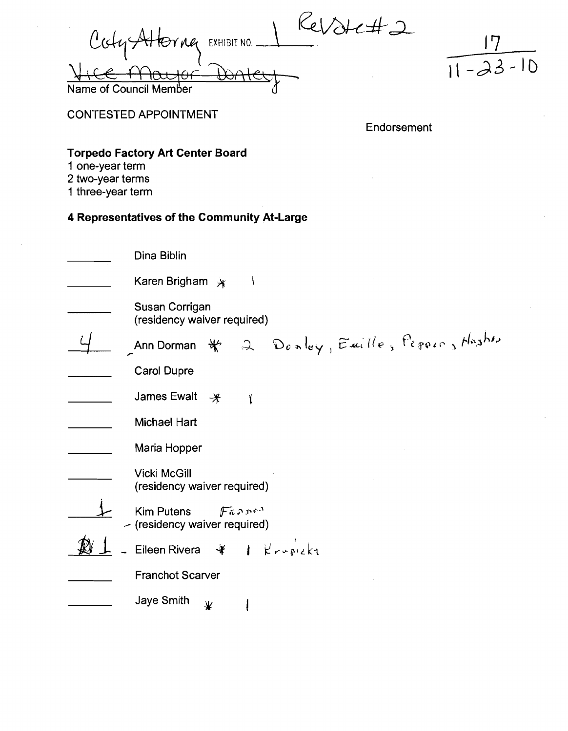$\mathcal{C}_{el}$ Cody Altering EXHIBIT NO. **If, L I I** ILhC/IUC  $\bigoplus\hspace{-0.18cm}\curvearrowleft\,$ Name of Counci



CONTESTED APPOINTMENT

Endorsement

# **Torpedo Factory Art Center Board**

- **1** one-year term
- 2 two-year terms
- 1 three-year term

| Dina Biblin                                                           |
|-----------------------------------------------------------------------|
| Karen Brigham $*$                                                     |
| Susan Corrigan<br>(residency waiver required)                         |
| Ann Dorman $\ast$ 2 Donley, Emille, Pegoro, Hashin                    |
| <b>Carol Dupre</b>                                                    |
| James Ewalt<br>$\mathcal{H}$                                          |
| Michael Hart                                                          |
| Maria Hopper                                                          |
| <b>Vicki McGill</b><br>(residency waiver required)                    |
| $\sqrt{F}$ arra<br><b>Kim Putens</b><br>- (residency waiver required) |
|                                                                       |
| <b>Franchot Scarver</b>                                               |
| Jaye Smith<br>业                                                       |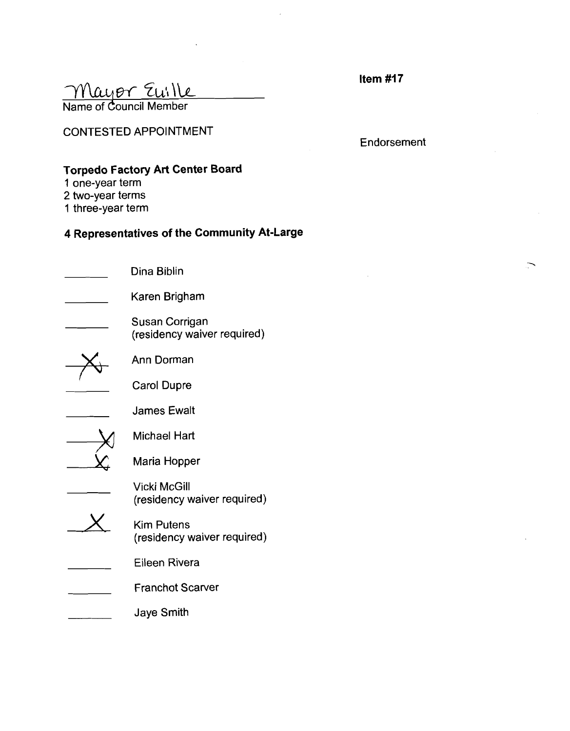| ltem #17 |  |
|----------|--|

| Mayor Euille           |  |
|------------------------|--|
| Name of Council Member |  |

CONTESTED APPOINTMENT

Endorsement

 $\overline{\phantom{1}}$ 

# **Torpedo Factory Art Center Board**

- 1 one-year term
- 2 two-year terms
- 1 three-year term

| Dina Biblin                                        |
|----------------------------------------------------|
| Karen Brigham                                      |
| Susan Corrigan<br>(residency waiver required)      |
| Ann Dorman                                         |
| Carol Dupre                                        |
| <b>James Ewalt</b>                                 |
| Michael Hart                                       |
| Maria Hopper                                       |
| <b>Vicki McGill</b><br>(residency waiver required) |
| <b>Kim Putens</b><br>(residency waiver required)   |
| <b>Eileen Rivera</b>                               |
| <b>Franchot Scarver</b>                            |
| Jaye Smith                                         |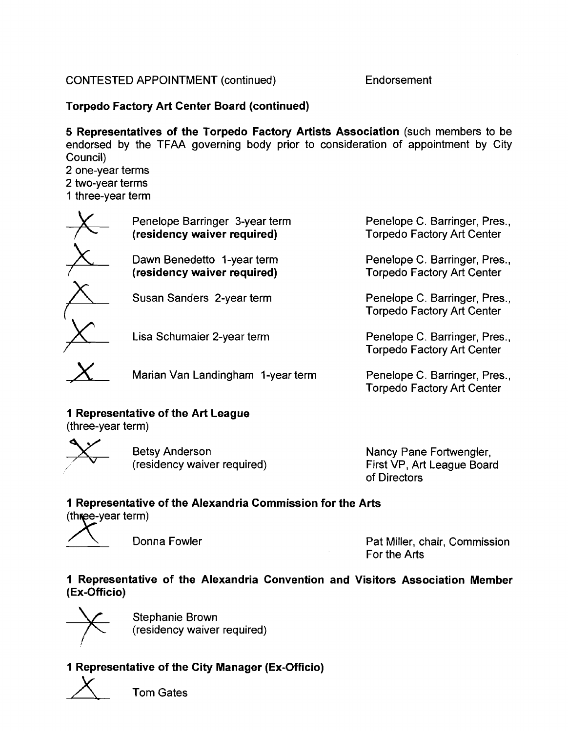# CONTESTED APPOINTMENT (continued) Endorsement

# **Torpedo Factory Art Center Board (continued)**

**5 Representatives of the Torpedo Factory Artists Association** (such members to be endorsed by the TFAA governing body prior to consideration of appointment by City Council)

2 one-year terms

2 two-year terms

1 three-year term

| Penelope Barringer 3-year term<br>(residency waiver required) | Penelope C. Barringer, Pres.,<br><b>Torpedo Factory Art Center</b> |
|---------------------------------------------------------------|--------------------------------------------------------------------|
| Dawn Benedetto 1-year term<br>(residency waiver required)     | Penelope C. Barringer, Pres.,<br><b>Torpedo Factory Art Center</b> |
| Susan Sanders 2-year term                                     | Penelope C. Barringer, Pres.,<br><b>Torpedo Factory Art Center</b> |
| Lisa Schumaier 2-year term                                    | Penelope C. Barringer, Pres.,<br><b>Torpedo Factory Art Center</b> |

Marian Van Landing ham 1-year term Penelope C. Barringer, Pres.,

# **1 Representative of the Art League**

(three-year term)



Betsy Anderson<br>(residency waiver required)

Nancy Pane Fortwengler, First VP, Art League Board of Directors

Torpedo Factory Art Center

# **1 Representative of the Alexandria Commission for the Arts**

(three-year term)



Donna Fowler **Pat Miller, chair, Commission** For the Arts

# **1 Representative of the Alexandria Convention and Visitors Association Member (Ex-Off icio)**



Stephanie Brown (residency waiver required)

# **1 Representative of the City Manager (Ex-Officio)**



Tom Gates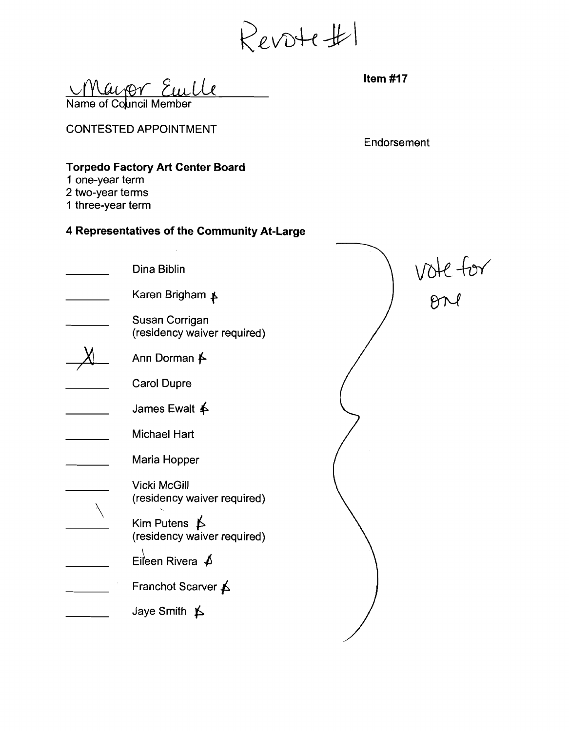<u>May or Eurle</u> <u>Ul</u>

CONTESTED APPOINTMENT

Endorsement

# **Torpedo Factory Art Center Board**

- **1** one-year term
- 2 two-year terms
- 1 three-year term

| 1 one-year term<br>2 two-year terms<br>1 three-year term | <b>Torpedo Factory Art Center Board</b>              |          |
|----------------------------------------------------------|------------------------------------------------------|----------|
|                                                          | 4 Representatives of the Community At-Large          |          |
|                                                          | Dina Biblin                                          | vote for |
|                                                          | Karen Brigham ≱                                      |          |
|                                                          | Susan Corrigan<br>(residency waiver required)        |          |
|                                                          | Ann Dorman <del>∱</del>                              |          |
|                                                          | <b>Carol Dupre</b>                                   |          |
|                                                          | James Ewalt <b>∱</b>                                 |          |
|                                                          | Michael Hart                                         |          |
|                                                          | Maria Hopper                                         |          |
|                                                          | <b>Vicki McGill</b><br>(residency waiver required)   |          |
|                                                          | Kim Putens $\uparrow$<br>(residency waiver required) |          |
|                                                          | Eileen Rivera $\oint$                                |          |
|                                                          | Franchot Scarver A                                   |          |
|                                                          | Jaye Smith $\uparrow$                                |          |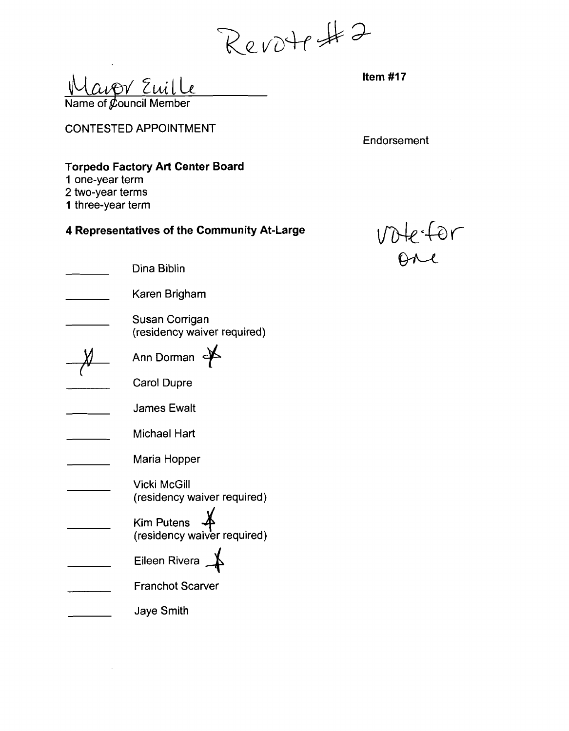Revotest 2

avor Euille  $\overline{\mathsf{Name}}$  of  $\cancel{\mathcal{C}}$ ouncil Member

CONTESTED APPOINTMENT

Endorsement

# **Torpedo Factory Art Center Board**

- **1** one-year term
- 2 two-year terms
- 1 three-year term

# **4 Representatives of the Community At-Large**  $\bigvee\bigvee\bigvee\bigvee\in\mathcal{L}$

| Dina Biblin                                        |  |
|----------------------------------------------------|--|
|                                                    |  |
| Karen Brigham                                      |  |
| Susan Corrigan<br>(residency waiver required)      |  |
| Ann Dorman                                         |  |
| <b>Carol Dupre</b>                                 |  |
| <b>James Ewalt</b>                                 |  |
| Michael Hart                                       |  |
| Maria Hopper                                       |  |
| <b>Vicki McGill</b><br>(residency waiver required) |  |
| <b>Kim Putens</b><br>(residency waiver required)   |  |
| Eileen Rivera                                      |  |
| <b>Franchot Scarver</b>                            |  |
| Jaye Smith                                         |  |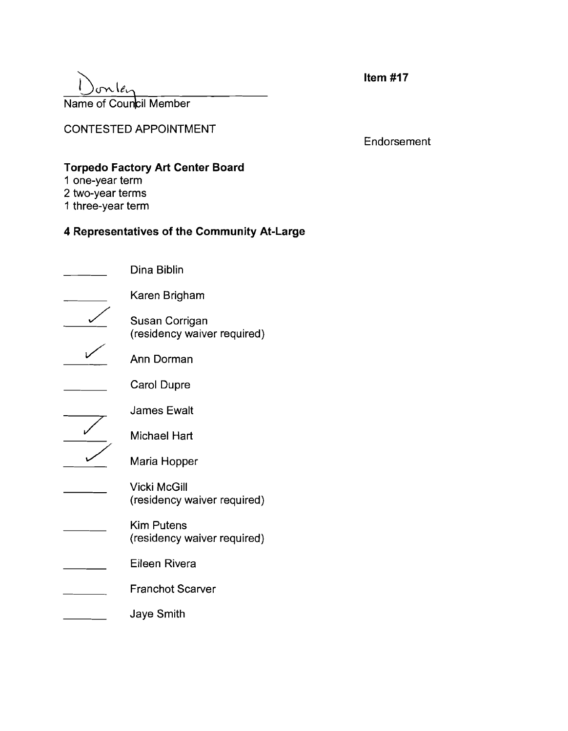# $\sim$ le. Name of Council Member

**Item #I7** 

CONTESTED APPOINTMENT

Endorsement

# **Torpedo Factory Art Center Board**

- 1 one-year term
- 2 two-year terms
- 1 three-year term

| Dina Biblin                                        |
|----------------------------------------------------|
| Karen Brigham                                      |
| Susan Corrigan<br>(residency waiver required)      |
| Ann Dorman                                         |
| Carol Dupre                                        |
| <b>James Ewalt</b>                                 |
| Michael Hart                                       |
| Maria Hopper                                       |
| <b>Vicki McGill</b><br>(residency waiver required) |
| <b>Kim Putens</b><br>(residency waiver required)   |
| Eileen Rivera                                      |
| <b>Franchot Scarver</b>                            |
| Jaye Smith                                         |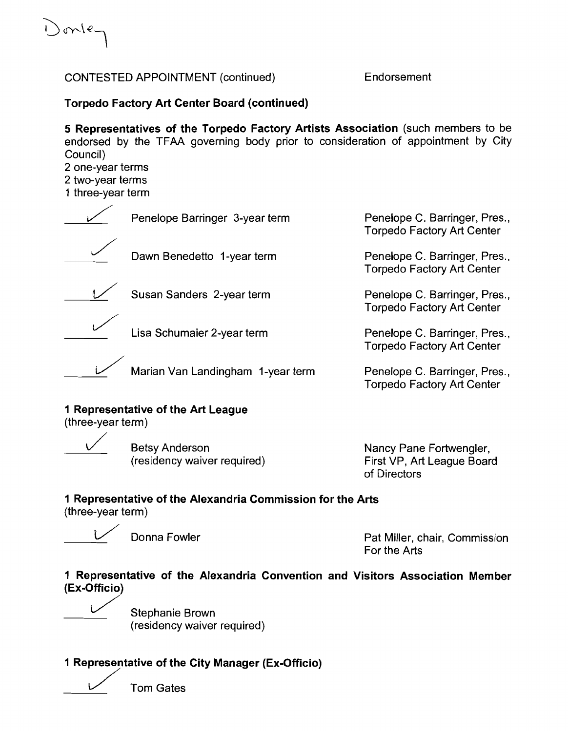) onle.

# CONTESTED APPOINTMENT (continued) Endorsement

# **Torpedo Factory Art Center Board (continued)**

**5 Representatives of the Torpedo Factory Artists Association** (such members to be endorsed by the TFAA governing body prior to consideration of appointment by City Council)

2 one-year terms 2 two-year terms

1 three-year term

ncil)<br>e-year terms<br>ee-year term Penelope Barringer 3-year term Penelope C. Barringer, Pres.,<br>Penelope Barringer 3-year term Penelope C. Barringer, Pres.,<br>Torpedo Factory Art Center Torpedo Factory Art Center Dawn Benedetto 1-year term Dawn Benedetto 1-year term<br>
Susan Sanders 2-year term Penelope C. Barringer, Pres., Torpedo Factory Art Center Penelope C. Barringer, Pres., Torpedo Factory Art Center Lisa Schumaier 2-year term Penelope C. Barringer, Pres.,

Marian Van Landingham 1-year term Penelope C. Barringer, Pres.,

**1 Representative of the Art League** 

(three-year term)

**Betsy Anderson** (residency waiver required) Nancy Pane Fortwengler, First VP, Art League Board of Directors

Torpedo Factory Art Center

Torpedo Factory Art Center

# **1 Representative of the Alexandria Commission for the Arts**

(three-year term)

Donna Fowler **Pat Miller, chair, Commission** For the Arts

# **1 Representative of the Alexandria Convention and Visitors Association Member (Ex-Officio)** <sup>N</sup>

ì.

Stephanie Brown (residency waiver required)

# **1 Representative of the City Manager (Ex-Officio)**



Tom Gates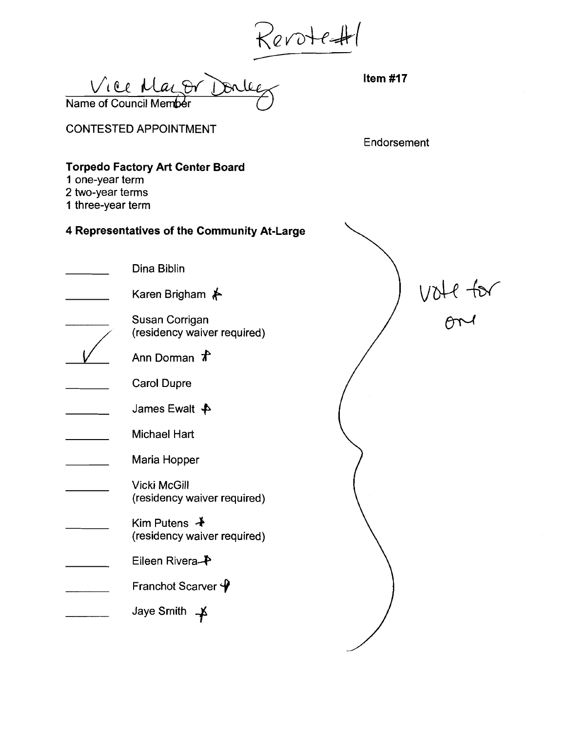Revote #1<br>Vice Maror Douler Hen #17  $\overline{\mathsf{Name}}$  of Council Member

# CONTESTED APPOINTMENT

Endorsement

# **Torpedo Factory Art Center Board**

- **1** one-year term
- 2 two-year terms
- 1 three-year term

| Dina Biblin                                                   |          |
|---------------------------------------------------------------|----------|
| Karen Brigham ⊁                                               | VOHT TUT |
| Susan Corrigan<br>(residency waiver required)                 |          |
| Ann Dorman $\pi$                                              |          |
| <b>Carol Dupre</b>                                            |          |
| James Ewalt $\clubsuit$                                       |          |
| Michael Hart                                                  |          |
| Maria Hopper                                                  |          |
| <b>Vicki McGill</b><br>(residency waiver required)            |          |
| Kim Putens $\ddot{\mathbf{+}}$<br>(residency waiver required) |          |
| Eileen Rivera <sup>-</sup>                                    |          |
| Franchot Scarver $\mathbf{\varphi}$                           |          |
| Jaye Smith                                                    |          |
|                                                               |          |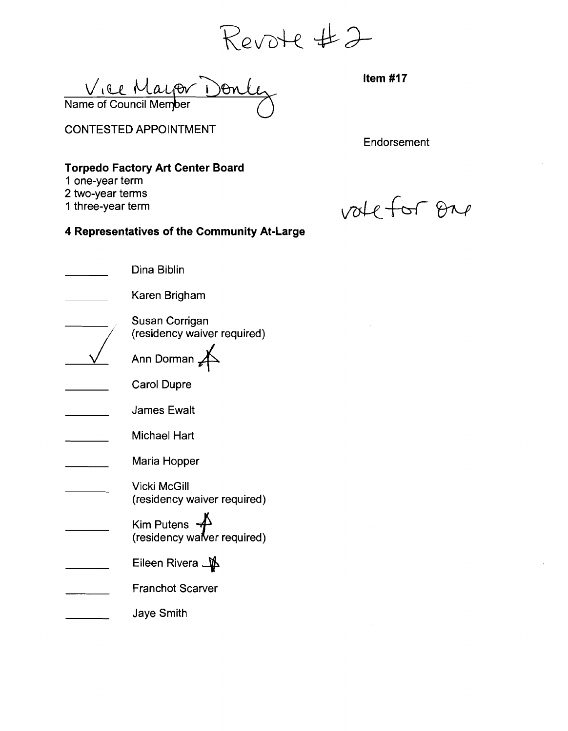**R**evote #2

Viee Mayor Don<br>Name of Council Memper

CONTESTED APPOINTMENT

**Endorsement** 

# **Torpedo Factory Art Center Board**

1 one-year term

- 2 two-year terms
- 1 three-year term

vale for one

| Dina Biblin                                                    |
|----------------------------------------------------------------|
| Karen Brigham                                                  |
| Susan Corrigan<br>(residency waiver required)                  |
| Ann Dorman                                                     |
| <b>Carol Dupre</b>                                             |
| <b>James Ewalt</b>                                             |
| Michael Hart                                                   |
| Maria Hopper                                                   |
| <b>Vicki McGill</b><br>(residency waiver required)             |
| Kim Putens $\overrightarrow{+}$<br>(residency walver required) |
| Eileen Rivera <u>_</u> ∯                                       |
| <b>Franchot Scarver</b>                                        |
| Jaye Smith                                                     |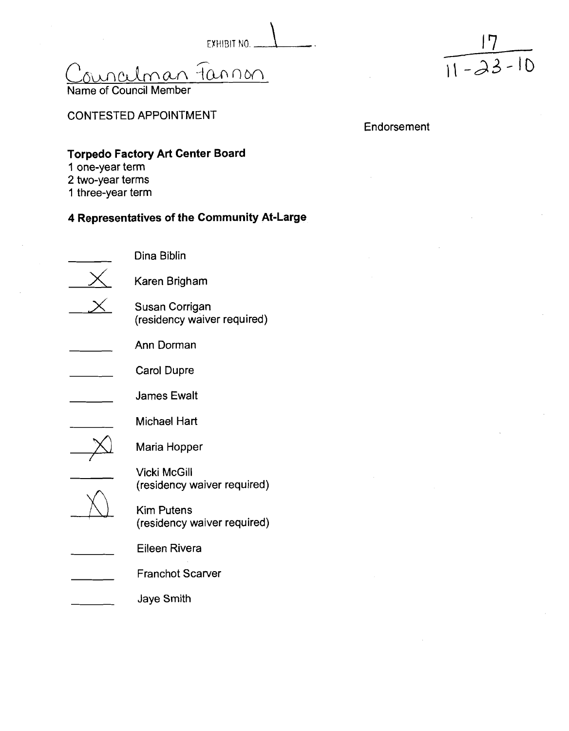EXHIBIT NO.  $\qquad \qquad$ 

man Fannon



 $\frac{17}{11-23-10}$ 

# CONTESTED APPOINTMENT

Endorsement

# **Torpedo Factory Art Center Board**

- **1** one-year term
- 2 two-year terms
- 1 three-year term

| Dina Biblin                                      |
|--------------------------------------------------|
| Karen Brigham                                    |
| Susan Corrigan<br>(residency waiver required)    |
| Ann Dorman                                       |
| <b>Carol Dupre</b>                               |
| James Ewalt                                      |
| Michael Hart                                     |
| Maria Hopper                                     |
| Vicki McGill<br>(residency waiver required)      |
| <b>Kim Putens</b><br>(residency waiver required) |
| Eileen Rivera                                    |
| <b>Franchot Scarver</b>                          |
| <b>Jaye Smith</b>                                |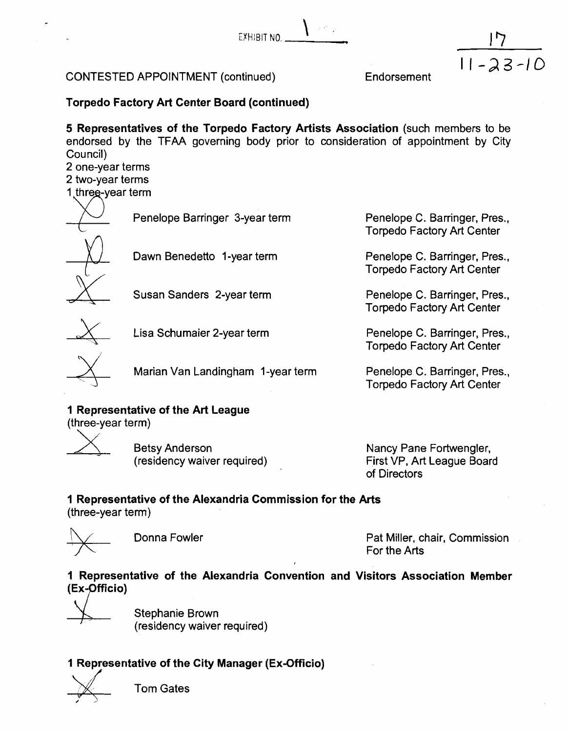$\sqrt{\frac{1}{2}}$ EYHIBIT NO.

# CONTESTED APPOINTMENT (continued)

**Endorsement** 

 $11 - 23 - 10$ 

**Torpedo Factory Art Center Board (continued)** 

**5 Representatives of the Torpedo Factory Artists Association** (such members to be endorsed by the TFAA governing body prior to consideration of appointment by City Council)

2 one-year terms 2 two-year terms

Penelope Barringer 3-year term Penelope C. Barringer, Pres.,



Susan Sanders 2-year term



Lisa Schumaier 2-year term Penelope C. Barringer, Pres.,

Marian Van Landingham 1-year term Penelope C. Barringer, Pres.,

**1 Representative of the Art League** 

(three-year term)

Betsy Anderson (residency waiver required) Nancy Pane Fortwengler, First VP, Art League Board

of Directors

Torpedo Factory Art Center

Penelope C. Barringer, Pres., Torpedo Factory Art Center

Penelope C. Barringer, Pres., Torpedo Factory Art Center

Torpedo Factory Art Center

Torpedo Factory Art Center

# **1 Representative of the Alexandria Commission for the Arts**

(three-year term)



Donna Fowler **Pat Miller, chair, Commission** For the Arts

**1 Representative of the Alexandria Convention and Visitors Association Member (Ex-Pfficio)** 

Stephanie Brown (residency waiver required)

# **1 Representative of the City Manager (Ex-Officio)**<br> **P** Tom Gates<br> **P** Tom Gates

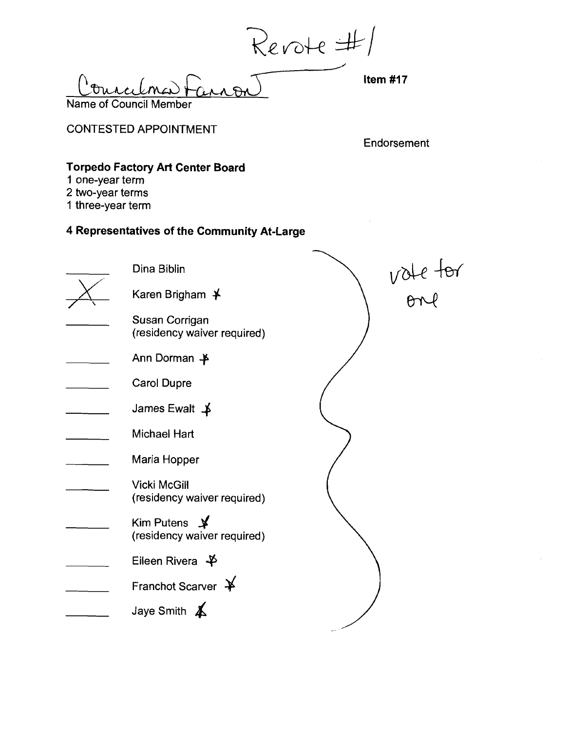Revote #/

<u>R-C-L</u><br> **Item #17** Name of Council Member

CONTESTED APPOINTMENT

**Endorsement** 

# **Torpedo Factory Art Center Board**

- **1** one-year term
- 2 two-year terms
- 1 three-year term

| Dina Biblin                                                              |          |
|--------------------------------------------------------------------------|----------|
| Karen Brigham $\cancel{+}$                                               | vote tor |
| Susan Corrigan<br>(residency waiver required)                            |          |
| Ann Dorman $\clubsuit$                                                   |          |
| <b>Carol Dupre</b>                                                       |          |
| James Ewalt $\uparrow$                                                   |          |
| Michael Hart                                                             |          |
| Maria Hopper                                                             |          |
| <b>Vicki McGill</b><br>(residency waiver required)                       |          |
| Kim Putens $\cancel{\blacktriangleright}$<br>(residency waiver required) |          |
| Eileen Rivera $\clubsuit$                                                |          |
| Franchot Scarver $\cancel{+}$                                            |          |
| Jaye Smith $\angle$                                                      |          |
|                                                                          |          |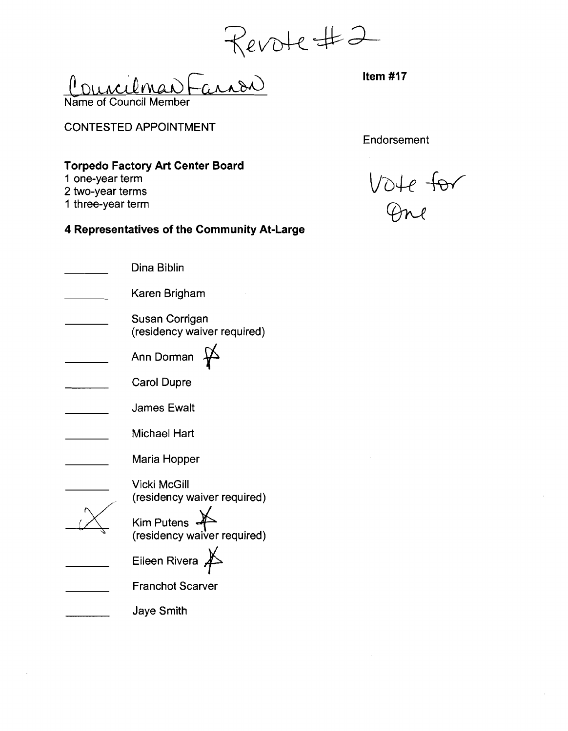Revote #2 Name of Council Member

CONTESTED APPOINTMENT

**Endorsement** 

# **Torpedo Factory Art Center Board**

- **1** one-year term
- 2 two-year terms
- 1 three-year term
- **4 Representatives of the Community At-Large**

| Dina Biblin                                   |
|-----------------------------------------------|
| Karen Brigham                                 |
| Susan Corrigan<br>(residency waiver required) |
| Ann Dorman                                    |
| Carol Dupre                                   |
| <b>James Ewalt</b>                            |
| Michael Hart                                  |
| Maria Hopper                                  |
| Vicki McGill<br>(residency waiver required)   |
| Kim Putens<br>(residency waiver required)     |
| Eileen Rivera                                 |
| <b>Franchot Scarver</b>                       |
| Jaye Smith                                    |

Vote for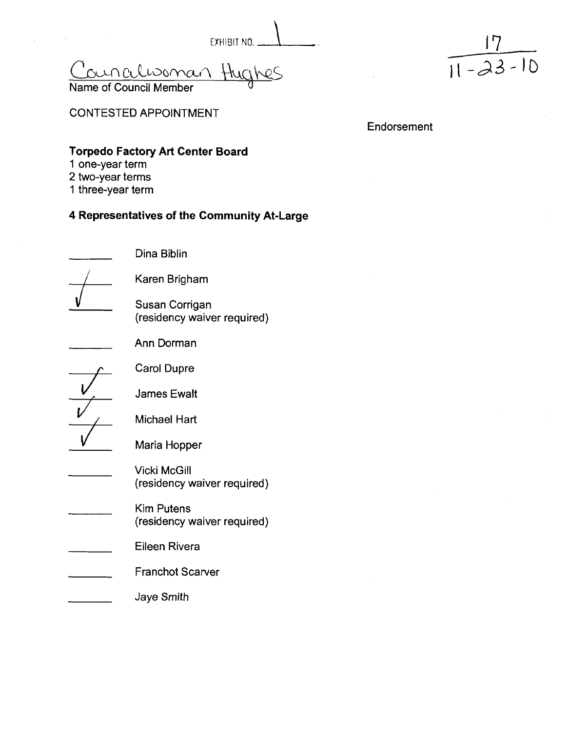EXHIBIT NO. 1

Councilwoman th

Name of Council Member

 $\frac{17}{11 - 23}$ <sup>11</sup>*-23-* 10

CONTESTED APPOINTMENT

**Endorsement** 

# **Torpedo Factory Art Center Board**

- **1** one-year term
- 2 two-year terms
- 1 three-year term

| Dina Biblin                                      |
|--------------------------------------------------|
| Karen Brigham                                    |
| Susan Corrigan<br>(residency waiver required)    |
| Ann Dorman                                       |
| <b>Carol Dupre</b>                               |
| <b>James Ewalt</b>                               |
| Michael Hart                                     |
| Maria Hopper                                     |
| Vicki McGill<br>(residency waiver required)      |
| <b>Kim Putens</b><br>(residency waiver required) |
| Eileen Rivera                                    |
| <b>Franchot Scarver</b>                          |
| Jaye Smith                                       |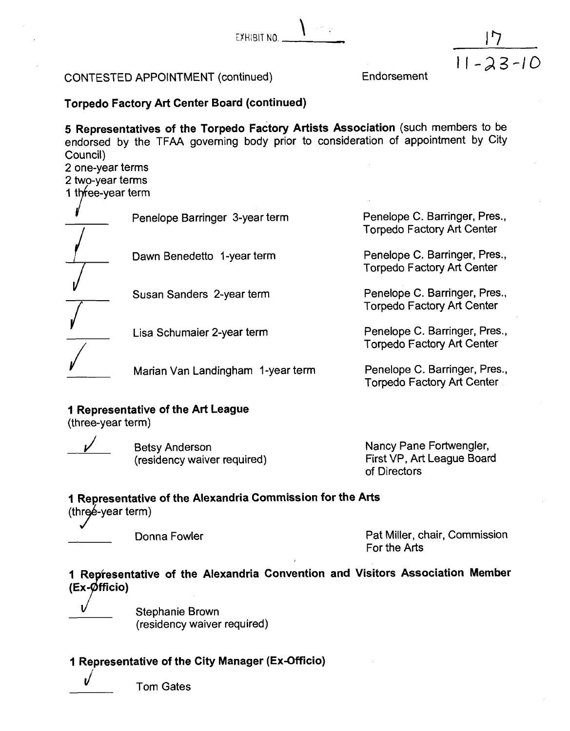$C$ 

# CONTESTED APPOINTMENT (continued)

Endorsement

 $11 - 23 - 10$ 

# **Torpedo Factory Art Center Board (continued)**

**5 Representatives of the Torpedo Factory Artists Association** (such members to be endorsed by the TFAA governing body prior to consideration of appointment by City Council)

2 one-year terms

2 two-year terms

1 three-year term

Penelope Barringer 3-year term Penelope C. Barringer, Pres.,

Torpedo Factory Art Center<br>
Dawn Benedetto 1-year term<br>
Torpedo Externes, Torpedo Factory Art Center<br>
Penelope C. Barringer, Pres.,

Susan Sanders 2-year term Penelope C. Barringer, Pres.,

/

**Lisa Schumaier 2-year term** 

Marian Van Landingham 1-year term Penelope C. Barringer, Pres.,

# **1 Representative of the Art League**

(three-year term)

Betsy Anderson (residency waiver required)

Nancy Pane Fortwengler, First VP, Art League Board of Directors

1 Torpedo Factory Art Center

Torpedo Factory Art Center

f Torpedo Factory Art Center

Penelope C. Barringer, Pres., Torpedo Factory Art Center

Torpedo Factory Art Center

# **of the Alexandria Commission for the Arts**

(three-year term)

Donna Fowler **Pat Miller, chair, Commission** For the Arts

# **of the Alexandria Convention and Visitors Association Member**   $(Ex-Øfficio)$

Stephanie Brown (residency waiver required)

# **1 Representative of the City Manager (Ex-OfFicio)**



**Tom Gates**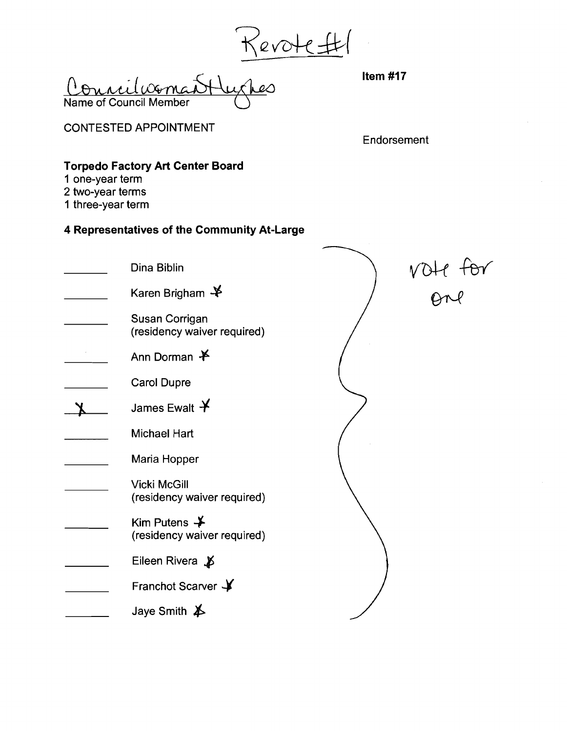Revote #

Name of Council Member

CONTESTED APPOINTMENT

Endorsement

# **Torpedo Factory Art Center Board**

- **1** one-year term
- 2 two-year terms
- 1 three-year term

| Dina Biblin                                          |             |
|------------------------------------------------------|-------------|
| Karen Brigham $\clubsuit$                            | $VOH$ $+Br$ |
| Susan Corrigan<br>(residency waiver required)        |             |
| Ann Dorman $*$                                       |             |
| <b>Carol Dupre</b>                                   |             |
| James Ewalt $\bm{\mathsf{Y}}$                        |             |
| <b>Michael Hart</b>                                  |             |
| Maria Hopper                                         |             |
| <b>Vicki McGill</b><br>(residency waiver required)   |             |
| Kim Putens $\bigstar$<br>(residency waiver required) |             |
| Eileen Rivera $\cancel{\psi}$                        |             |
| Franchot Scarver Y                                   |             |
| Jaye Smith $\cancel{\blacktriangleright}$            |             |
|                                                      |             |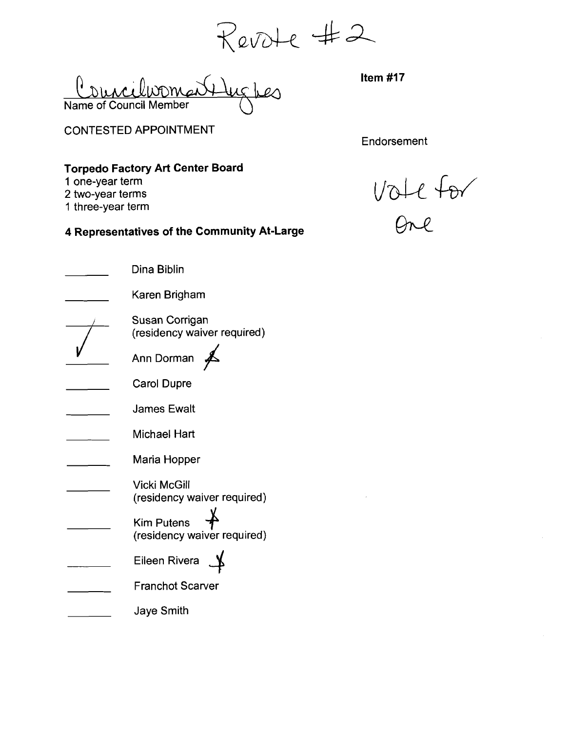Revote #2<br><del>Ulug</del>bes Hem#17

Councilvoma Name of Council Member

CONTESTED APPOINTMENT

**Endorsement** 

 $\mathcal{L}_{\mathcal{A}}$ 

# **Torpedo Factory Art Center Board**

- **1** one-year term
- 2 two-year terms
- 1 three-year term

1 one-year term<br>
2 two-year term<br>
4 Representatives of the Community At-Large *D*ne *Dne* 

|  | 4 Representatives of the Community At-Laı          |  |
|--|----------------------------------------------------|--|
|  | Dina Biblin                                        |  |
|  | Karen Brigham                                      |  |
|  | Susan Corrigan<br>(residency waiver required)      |  |
|  | Ann Dorman                                         |  |
|  | <b>Carol Dupre</b>                                 |  |
|  | <b>James Ewalt</b>                                 |  |
|  | Michael Hart                                       |  |
|  | Maria Hopper                                       |  |
|  | <b>Vicki McGill</b><br>(residency waiver required) |  |
|  | <b>Kim Putens</b><br>(residency waiver required)   |  |
|  | Eileen Rivera                                      |  |
|  | <b>Franchot Scarver</b>                            |  |
|  | <b>Jaye Smith</b>                                  |  |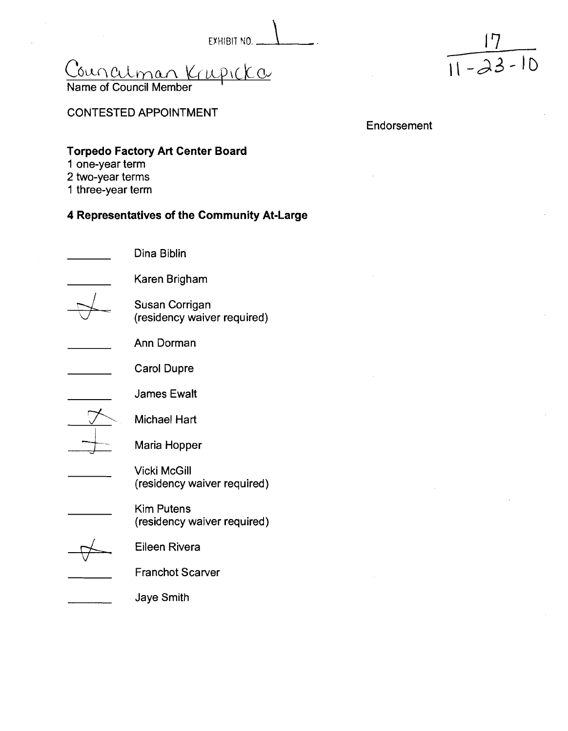EXHIBIT NO. 1  $Concatman$  Krupicka

Name of Council Member

# CONTESTED APPOINTMENT

**Endorsement** 

# **Torpedo Factory Art Center Board**

- **1** one-year term
- 2 two-year terms
- 1 three-year term

# **4 Representatives of the Community At-Large**

Dina Biblin Karen Brigham Susan Corrigan (residency waiver required) Ann Dorman Carol Dupre James Ewalt Michael Hart<br>Maria Hopper Vicki McGill (residency waiver required) Kim Putens (residency waiver required) Eileen Rivera Franchot Scarver Jaye Smith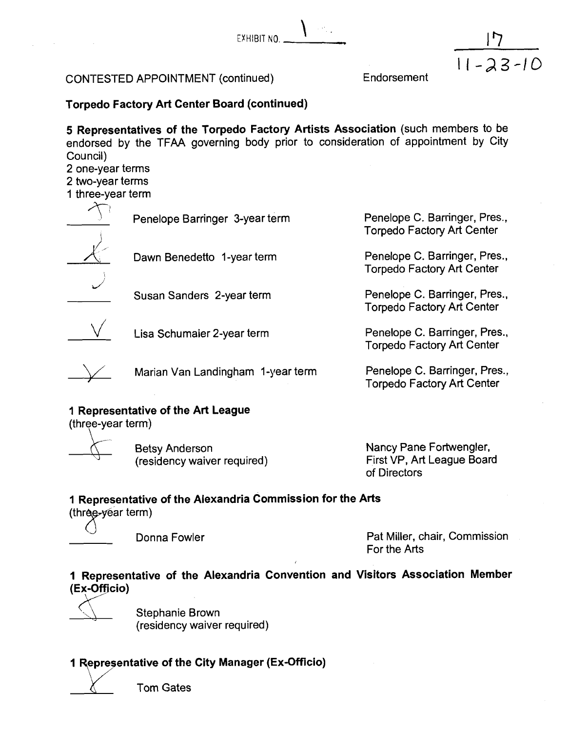EYHIBIT NO.  $\sum_{i=1}^n\alpha_i$ 

# CONTESTED APPOINTMENT (continued)

Endorsement

 $11 - 23 - 10$ 

# **Torpedo Factory Art Center Board (continued)**

**5 Representatives of the Torpedo Factory Artists Association** (such members to be endorsed by the TFAA governing body prior to consideration of appointment by City Council)

2 one-year terms

2 two-year terms<br>1 three-year term

Penelope Barringer 3-year term



Dawn Benedetto 1-year term

 $\bigcup$ Susan Sanders 2-year term



Lisa Schumaier 2-year term

Marian Van Landingham I-year term

# **1 Representative of the Art League**

(three-year term)

Betsy Anderson (residency waiver required) Nancy Pane Fortwengler, First VP, Art League Board of Directors

Penelope C. Barringer, Pres., Torpedo Factory Art Center

Penelope C. Barringer, Pres., Torpedo Factory Art Center

Penelope C. Barringer, Pres., Torpedo Factory Art Center

Penelope C. Barringer, Pres., Torpedo Factory Art Center

Penelope C. Barringer, Pres., Torpedo Factory Art Center

# **1 Representative of the Alexandria Commission for the Arts**

 $(thr\theta e-year term)$ 

Donna Fowler **Pat Miller, chair, Commission** For the Arts

# **1 Representative of the Alexandria Convention and Visitors Association Member (Ex-Officio)** Y

. Stephanie Brown (residency waiver required)

# **1 Representative of the City Manager (Ex-Officio)**

Tom Gates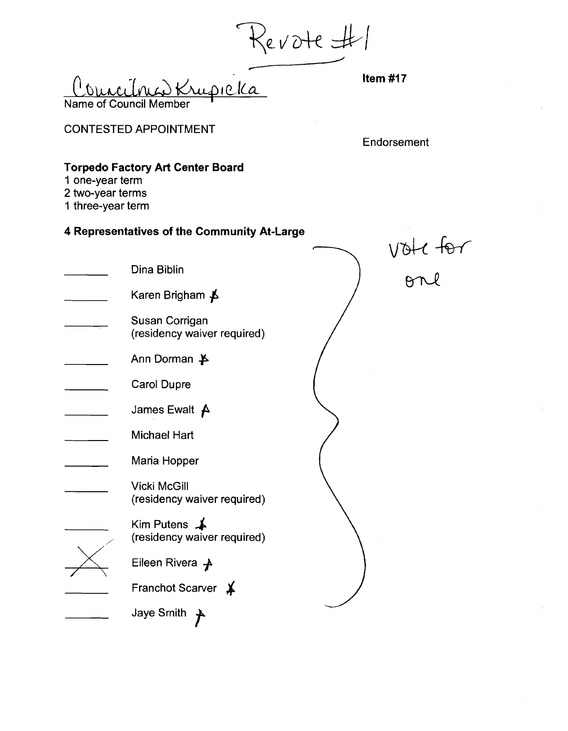Revote H/

CONTESTED APPOINTMENT

**Endorsement** 

# **Torpedo Factory Art Center Board**

- **1** one-year term
- 2 two-year terms
- 1 three-year term

| 1 one-year term<br>2 two-year terms<br>1 three-year term |                                                       |         |
|----------------------------------------------------------|-------------------------------------------------------|---------|
|                                                          | 4 Representatives of the Community At-Large           |         |
|                                                          | Dina Biblin                                           | vok for |
|                                                          | Karen Brigham <b>人</b>                                |         |
|                                                          | Susan Corrigan<br>(residency waiver required)         |         |
|                                                          | Ann Dorman $\cancel{\blacktriangleright}$             |         |
|                                                          | <b>Carol Dupre</b>                                    |         |
|                                                          | James Ewalt $\bm{A}$                                  |         |
|                                                          | <b>Michael Hart</b>                                   |         |
|                                                          | Maria Hopper                                          |         |
|                                                          | <b>Vicki McGill</b><br>(residency waiver required)    |         |
|                                                          | Kim Putens $\triangle$<br>(residency waiver required) |         |
|                                                          | Eileen Rivera $\rightarrow$                           |         |
|                                                          | Franchot Scarver *                                    |         |
|                                                          | Jaye Smith                                            |         |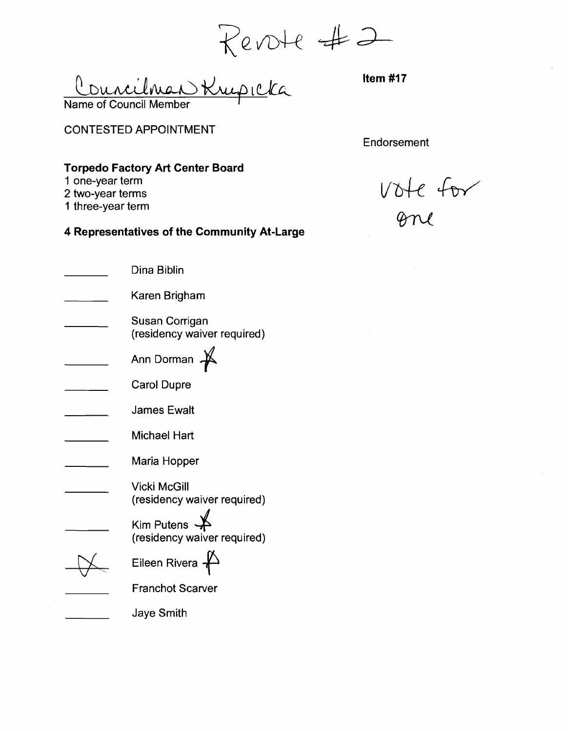Name of Council Member icka

CONTESTED APPOINTMENT

**Endorsement** 

# **Torpedo Factory Art Center Board**

- **1** one-year term
- 2 two-year terms
- 1 three-year term

vote for

| Dina Biblin                                                         |
|---------------------------------------------------------------------|
| Karen Brigham                                                       |
| Susan Corrigan<br>(residency waiver required)                       |
| Ann Dorman                                                          |
| Carol Dupre                                                         |
| <b>James Ewalt</b>                                                  |
| <b>Michael Hart</b>                                                 |
| Maria Hopper                                                        |
| Vicki McGill<br>(residency waiver required)                         |
| Kim Putens $\cancel{\blacktriangle}$<br>(residency waiver required) |
| Eileen Rivera                                                       |
| <b>Franchot Scarver</b>                                             |
| Jaye Smith                                                          |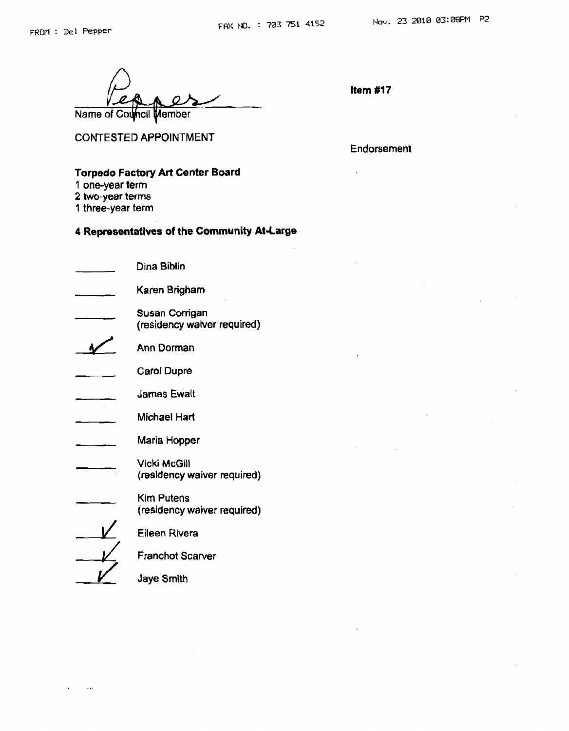**CONTESTED APPOINTMENT** 

Name of Council Member

**Endorsement** 

#### **Torpedo Factory Art Center Board**

- **I one-year term**
- **2 two-year terms**
- **1 three-year term**

 $\sim$  47

| Dina Biblin                                        |
|----------------------------------------------------|
| Karen Brigham                                      |
| Susan Corrigan<br>(residency waiver required)      |
| Ann Dorman                                         |
| Carol Dupre                                        |
| <b>James Ewalt</b>                                 |
| Michael Hart                                       |
| Maria Hopper                                       |
| <b>Vicki McGill</b><br>(residency waiver required) |
| Kim Putens<br>(residency waiver required)          |
| <b>Eileen Rivera</b>                               |
| Franchot Scarver                                   |
| Jaye Smith                                         |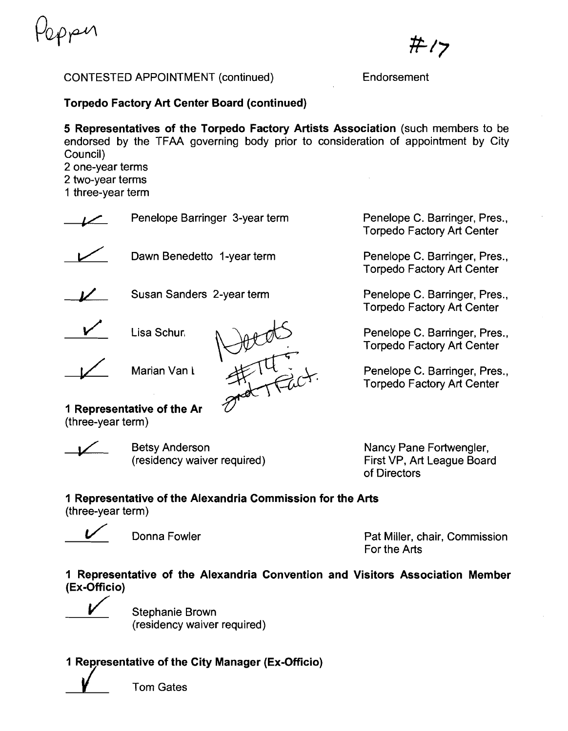pen

ポク

#### CONTESTED APPOINTMENT (continued) Endorsement

**Torpedo Factory Art Center Board (continued)** 

**5 Representatives of the Torpedo Factory Artists Association** (such members to be endorsed by the TFAA governing body prior to consideration of appointment by City Council) 2 one-year terms

2 two-year terms I three-year term

Penelope Barringer 3-year term<br>
Dawn Benedetto 1-year term





Susan Sanders 2-year term



Lisa Schur,

**I** Lisa Schur.<br>
Marian Van L



Penelope C. Barringer, Pres., Torpedo Factory Art Center

Penelope C. Barringer, Pres., Torpedo Factory Art Center

Penelope C. Barringer, Pres., Torpedo Factory Art Center

Penelope C. Barringer, Pres., Torpedo Factory Art Center

Penelope C. Barringer, Pres., Torpedo Factory Art Center

**1 Representative of the Ar**   $($ three-year term $)$ 

Betsy Anderson (residency waiver required) Nancy Pane Fortwengler, First VP, Art League Board of Directors

# **1 Representative of the Alexandria Commission for the Arts**

(three-year term)

ee-year term)<br>
Donna Fowler Pat Miller, chair, Commission<br>
Pat Miller, chair, Commission For the Arts

**1 Representative of the Alexandria Convention and Visitors Association Member (Ex-Officio)** 

Stephanie Brown (residency waiver required)

**1 Representative of the City Manager (Ex-Officio)** /

Tom Gates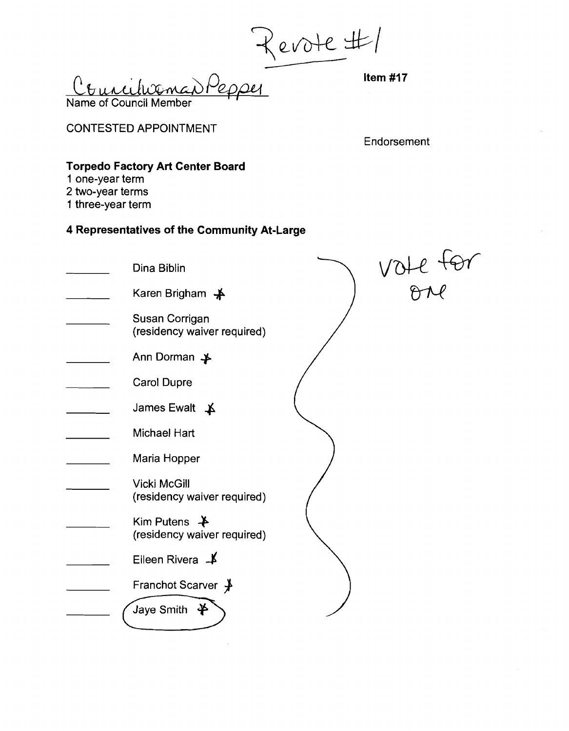Name of Council Member wence)

CONTESTED APPOINTMENT

**Endorsement** 

# **Torpedo Factory Art Center Board**

- **1** one-year term
- 2 two-year terms
- 1 three-year term

| Dina Biblin                                             | VOIC TON |
|---------------------------------------------------------|----------|
| Karen Brigham - ¥                                       |          |
| Susan Corrigan<br>(residency waiver required)           |          |
| Ann Dorman →                                            |          |
| <b>Carol Dupre</b>                                      |          |
| James Ewalt $\uparrow$                                  |          |
| <b>Michael Hart</b>                                     |          |
| Maria Hopper                                            |          |
| <b>Vicki McGill</b><br>(residency waiver required)      |          |
| Kim Putens $\rightarrow$<br>(residency waiver required) |          |
| Eileen Rivera <b>_</b>                                  |          |
| Franchot Scarver $\cancel{\text{+}}$                    |          |
| Jaye Smith $\clubsuit$                                  |          |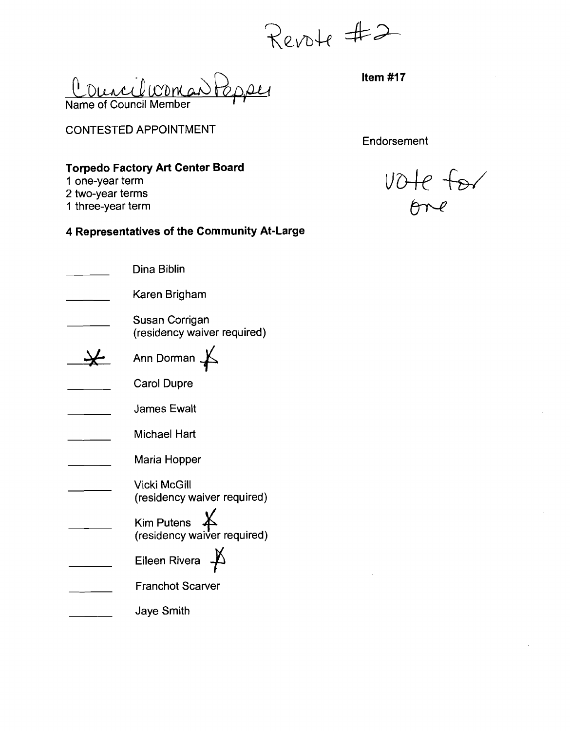Revote #2

 $\bigcup_{\alpha\in\mathcal{P}}\alpha$ Courcilcoman Name of Council Member

CONTESTED APPOINTMENT

**Endorsement** 

### **Torpedo Factory Art Center Board**

- **1** one-year term
- 2 two-year terms
- 1 three-year term

| Dina Biblin                                            |
|--------------------------------------------------------|
| Karen Brigham                                          |
| Susan Corrigan<br>(residency waiver required)          |
| Ann Dorman                                             |
| <b>Carol Dupre</b>                                     |
| <b>James Ewalt</b>                                     |
| Michael Hart                                           |
| Maria Hopper                                           |
| Vicki McGill<br>(residency waiver required)            |
| Kim Putens $\cancel{K}$<br>(residency waiver required) |
| Eileen Rivera                                          |
| <b>Franchot Scarver</b>                                |
| Jaye Smith                                             |

vote for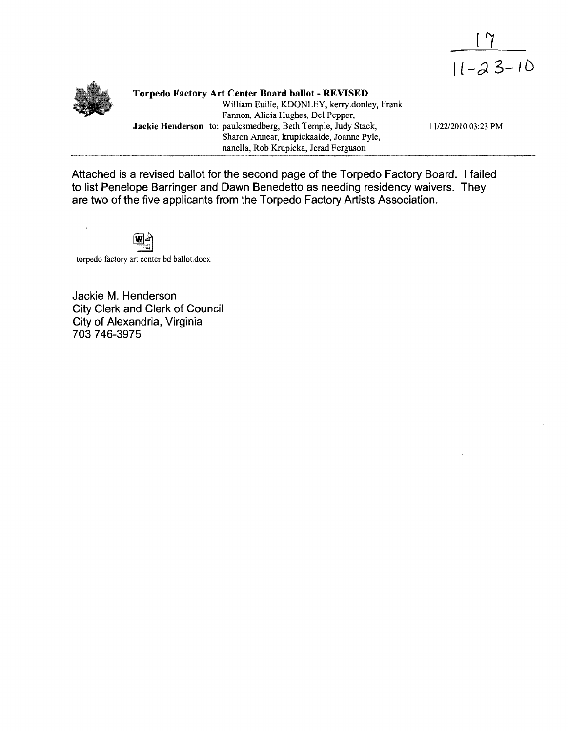



**Torpedo Factory Art Center Board ballot** - **REVISED**  William Euille, KDONLEY, keny.donley, Frank Fannon, Alicia Hughes, Del Pepper, **Jackie Henderson** to: paulcsmedberg, Beth Temple, Judy Stack, 11/22/2010 03:23 PM Sharon Annear, krupickaaide, Joanne Pyle, nanella, Rob Krupicka, Jerad Ferguson

Attached is a revised ballot for the second page of the Torpedo Factory Board. I failed to list Penelope Barringer and Dawn Benedetto as needing residency waivers. They are two of the five applicants from the Torpedo Factory Artists Association.



torpedo factory art center bd ballot.docx

Jackie M. Henderson City Clerk and Clerk of Council City of Alexandria, Virginia 703 746-3975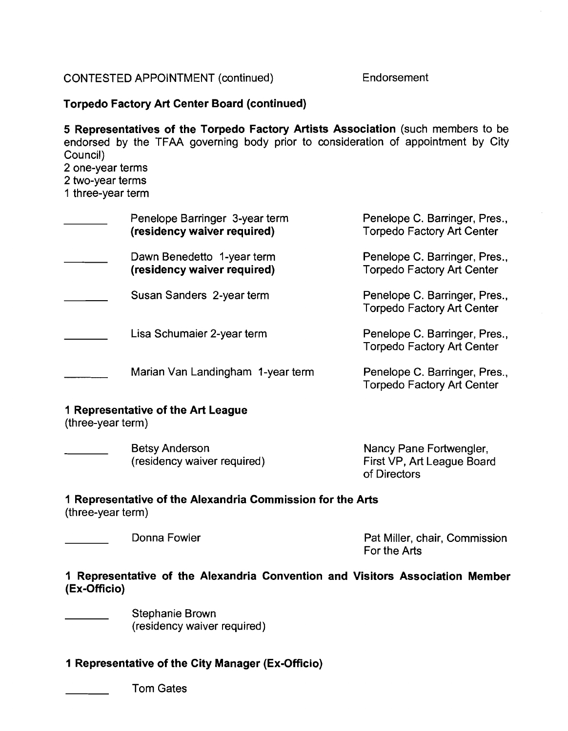# CONTESTED APPOINTMENT (continued) Endorsement

### **Torpedo Factory Art Center Board (continued)**

**5 Representatives of the Torpedo Factory Artists Association** (such members to be endorsed by the TFAA governing body prior to consideration of appointment by City Council) 2 one-year terms

2 two-year terms

1 three-year term

| Penelope Barringer 3-year term<br>(residency waiver required) | Penelope C. Barringer, Pres.,<br><b>Torpedo Factory Art Center</b> |
|---------------------------------------------------------------|--------------------------------------------------------------------|
| Dawn Benedetto 1-year term<br>(residency waiver required)     | Penelope C. Barringer, Pres.,<br><b>Torpedo Factory Art Center</b> |
| Susan Sanders 2-year term                                     | Penelope C. Barringer, Pres.,<br><b>Torpedo Factory Art Center</b> |
| Lisa Schumaier 2-year term                                    | Penelope C. Barringer, Pres.,<br><b>Torpedo Factory Art Center</b> |
| Marian Van Landingham 1-year term                             | Penelope C. Barringer, Pres.,<br><b>Torpedo Factory Art Center</b> |

# **1 Representative of the Art League**

(three-year term)

| <b>Betsy Anderson</b>       | Nancy Pane Fortwengler,    |
|-----------------------------|----------------------------|
| (residency waiver required) | First VP, Art League Board |
|                             | of Directors               |

#### **1 Representative of the Alexandria Commission for the Arts**  (three-year term)

Donna Fowler **Pat Miller, chair, Commission** For the Arts

# **1 Representative of the Alexandria Convention and Visitors Association Member (Ex-Officio)**

Stephanie Brown (residency waiver required)

# **1 Representative of the City Manager (Ex-Officio)**

Tom Gates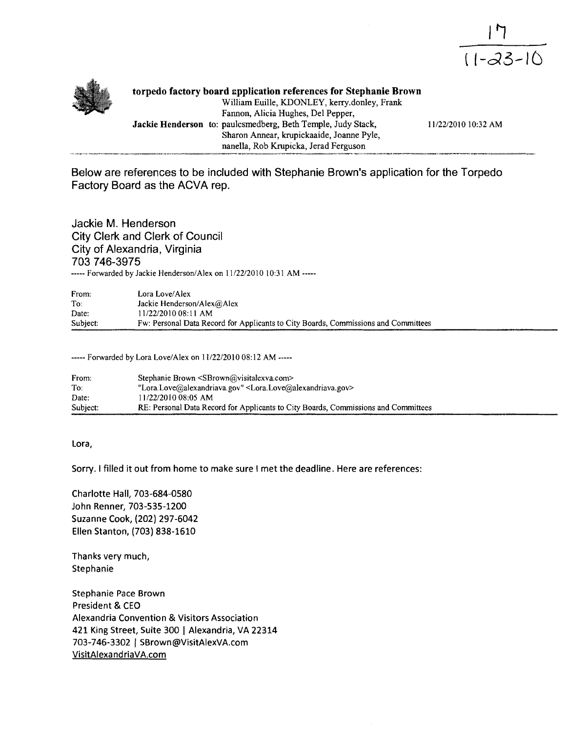



**torpedo factory board zpplication references for Stephanie Brown**  William Euille, KDONLEY, keny.donley, Frank Fannon, Alicia Hughes, Del Pepper, Jackie Henderson to: paulcsmedberg, Beth Temple, Judy Stack, 11/22/2010 10:32 AM Sharon Annear, krupickaaide, Joanne Pyle, nanella, Rob Krupicka, Jerad Ferguson

**Below are references to be included with Stephanie Brown's application for the Torpedo Factory Board as the ACVA rep.** 

**Jackie M. Henderson City Clerk and Clerk of Council City of Alexandria, Virginia 703 746-3975** ----- Forwarded by Jackie Henderson/Alex on 11/22/2010 10:31 AM -----

| From:    | Lora Love/Alex                                                                     |
|----------|------------------------------------------------------------------------------------|
| To:      | Jackie Henderson/Alex@Alex                                                         |
| Date:    | 11/22/2010 08:11 AM                                                                |
| Subject: | Fw: Personal Data Record for Applicants to City Boards, Commissions and Committees |

----- Forwarded by Lora Love/Alex on 1 1/22/2010 08: 12 AM -----

| From:    | Stephanie Brown <sbrown@visitalexva.com></sbrown@visitalexva.com>                      |
|----------|----------------------------------------------------------------------------------------|
| To:      | "Lora.Love@alexandriava.gov" <lora.love@alexandriava.gov></lora.love@alexandriava.gov> |
| Date:    | 11/22/2010 08:05 AM                                                                    |
| Subject: | RE: Personal Data Record for Applicants to City Boards, Commissions and Committees     |

**Lora,** 

**Sorry. I filled it out from home to make sure I met the deadline. Here are references:** 

**Charlotte Hall, 703-684-0580 John Renner, 703-535-1200 Suzanne Cook, (202) 297-6042 Ellen Stanton, (703) 838-1610** 

**Thanks very much, Stephanie** 

**Stephanie Pace Brown President** & **CEO Alexandria Convention** & **Visitors Association 421 King Street, Suite 300** 1 **Alexandria, VA 22314 703-746-3302** ( **SBrown@VisitAlexVA.com VisitAlexandriaVA.com**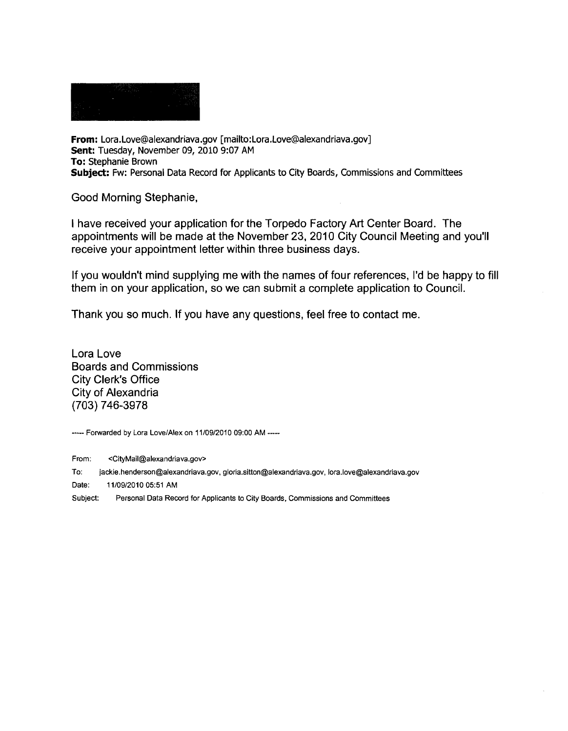**From: Lora.Love@alexandriava.gov [mailto:Lora.Love@alexandriava.gov] Sent: Tuesday, November 09, 2010 9:07 AM To: Stephanie Brown Subject: Fw: Personal Data Record for Applicants to City Boards, Commissions and Committees** 

Good Morning Stephanie,

I have received your application for the Torpedo Factory Art Center Board. The appointments will be made at the November 23, 2010 City Council Meeting and you'll receive your appointment letter within three business days.

If you wouldn't mind supplying me with the names of four references, I'd be happy to fill them in on your application, so we can submit a complete application to Council.

Thank you so much. If you have any questions, feel free to contact me.

Lora Love Boards and Commissions City Clerk's Office City of Alexandria (703) 746-3978

----- **Forwarded by Lora LoveIAlex on 11/09/2010 09:OO AM** -----

**From: <CityMaiI@alexandriava.gov>** 

To: **jackie.henderson@alexandriava.gov,** gloria.sitton@alexandriava.gov, **lora.love@alexandriava.gov** 

**Date: 11/09/2010 05:51 AM** 

**Subject: Personal Data Record for Applicants to City Boards, Commissions and Committees**